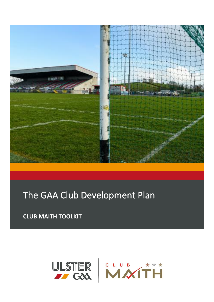

# The GAA Club Development Plan

**CLUB MAITH TOOLKIT**

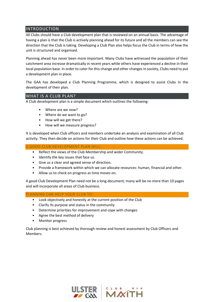# INTRODUCTION

All Clubs should have a Club development plan that is reviewed on an annual basis. The advantage of having a plan is that the Club is actively planning ahead for its future and all the members can see the direction that the Club is taking. Developing a Club Plan also helps focus the Club in terms of how the unit is structured and organised.

Planning ahead has never been more important. Many Clubs have witnessed the population of their catchment area increase dramatically in recent years while others have experienced a decline in their local population base. In order to cater for this change and other changes in society, Clubs need to put a development plan in place.

The GAA has developed a Club Planning Programme, which is designed to assist Clubs in the development of their plan.

# WHAT IS A CLUB PLAN?

A Club development plan is a simple document which outlines the following:

- Where are we now?
- Where do we want to go?
- How will we get there?
- How will we measure progress?

It is developed when Club officers and members undertake an analysis and examination of all Club activity. They then decide on actions for their Club and outline how these actions can be achieved.

A GOOD CLUB DEVELOPMENT PLAN WILL:

- Reflect the views of the Club Membership and wider Community.
- Identify the key issues that face us.
- Give us a clear and agreed sense of direction.
- Provide a framework within which we can allocate resources: human, financial and other.
- Allow us to check on progress as time moves on.

A good Club Development Plan need not be a long document; many will be no more than 10 pages and will incorporate all areas of Club business.

#### PLANNING CAN HELP YOUR CLUB TO:

- Look objectively and honestly at the current position of the Club
- Clarify its purpose and status in the community
- Determine priorities for improvement and cope with changes
- Agree the best method of delivery
- Monitor progress

Club planning is best achieved by thorough review and honest assessment by Club Officers and Members.

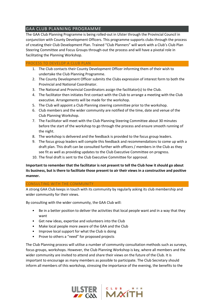# GAA CLUB PLANNING PROGRAMME

The GAA Club Planning Programme is being rolled-out in Ulster through the Provincial Council in conjunction with County Development Officers. This programme supports clubs through the process of creating their Club Development Plan. Trained "Club Planners" will work with a Club's Club Plan Steering Committee and Focus Groups through-out the process and will have a pivotal role in facilitating the Planning Workshop.

# PROCESS TO DEVELOP A CLUB PLAN

- 1. The Club contacts their County Development Officer informing them of their wish to undertake the Club Planning Programme.
- 2. The County Development Officer submits the Clubs expression of interest form to both the Provincial and National Coordinator.
- 3. The National and Provincial Coordinators assign the facilitator(s) to the Club.
- 4. The facilitator then initiates first contact with the Club to arrange a meeting with the Club executive. Arrangements will be made for the workshop.
- 5. The Club will appoint a Club Planning steering committee prior to the workshop.
- 6. Club members and the wider community are notified of the time, date and venue of the Club Planning Workshop.
- 7. The Facilitator will meet with the Club Planning Steering Committee about 30 minutes before the start of the workshop to go through the process and ensure smooth running of the night.
- 8. The workshop is delivered and the feedback is provided to the focus group leaders.
- 9. The focus group leaders will compile this feedback and recommendations to come up with a draft plan. This draft can be consulted further with officers / members in the Club as they see fit as well as providing updates to the Club Executive Committee on progress.
- 10. The final draft is sent to the Club Executive Committee for approval.

# **Important to remember that the facilitator is not present to tell the Club how it should go about its business, but is there to facilitate those present to air their views in a constructive and positive manner.**

# CONSULTING WITH THE COMMUNITY

A strong GAA Club keeps in touch with its community by regularly asking its club membership and wider community for their views.

By consulting with the wider community, the GAA Club will:

- Be in a better position to deliver the activities that local people want and in a way that they want
- Get new ideas, expertise and volunteers into the Club
- Make local people more aware of the GAA and the Club
- Improve local support for what the Club is doing
- Prove to others a "need" for proposed projects

The Club Planning process will utilise a number of community consultation methods such as surveys, focus groups, workshops. However, the Club Planning Workshop is key, where all members and the wider community are invited to attend and share their views on the future of the Club. It is important to encourage as many members as possible to participate. The Club Secretary should inform all members of this workshop, stressing the importance of the evening, the benefits to the

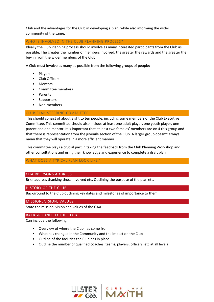Club and the advantages for the Club in developing a plan, while also informing the wider community of the same.

### WHO IS INVOLVED IN THE CLUB PLANNING PROCESS?

Ideally the Club Planning process should involve as many interested participants from the Club as possible. The greater the number of members involved, the greater the rewards and the greater the buy in from the wider members of the Club.

A Club must involve as many as possible from the following groups of people:

- **Players**
- Club Officers
- Mentors
- Committee members
- Parents
- **Supporters**
- Non-members

### CLUB PLAN STEERING COMMITTEE

This should consist of about eight to ten people, including some members of the Club Executive Committee. This committee should also include at least one adult player, one youth player, one parent and one mentor. It is important that at least two females' members are on 4 this group and that there is representation from the juvenile section of the Club. A larger group doesn't always mean that they will operate in a more efficient manner!

This committee plays a crucial part in taking the feedback from the Club Planning Workshop and other consultations and using their knowledge and experience to complete a draft plan.

# WHAT DOES A TYPICAL PLAN LOOK LIKE?

#### CHAIRPERSONS ADDRESS

Brief address thanking those involved etc. Outlining the purpose of the plan etc.

#### HISTORY OF THE CLUB

Background to the Club outlining key dates and milestones of importance to them.

#### MISSION, VISION, VALUES

State the mission, vision and values of the GAA.

#### BACKGROUND TO THE CLUB

Can include the following:

- Overview of where the Club has come from.
- What has changed in the Community and the impact on the Club
- Outline of the facilities the Club has in place
- Outline the number of qualified coaches, teams, players, officers, etc at all levels